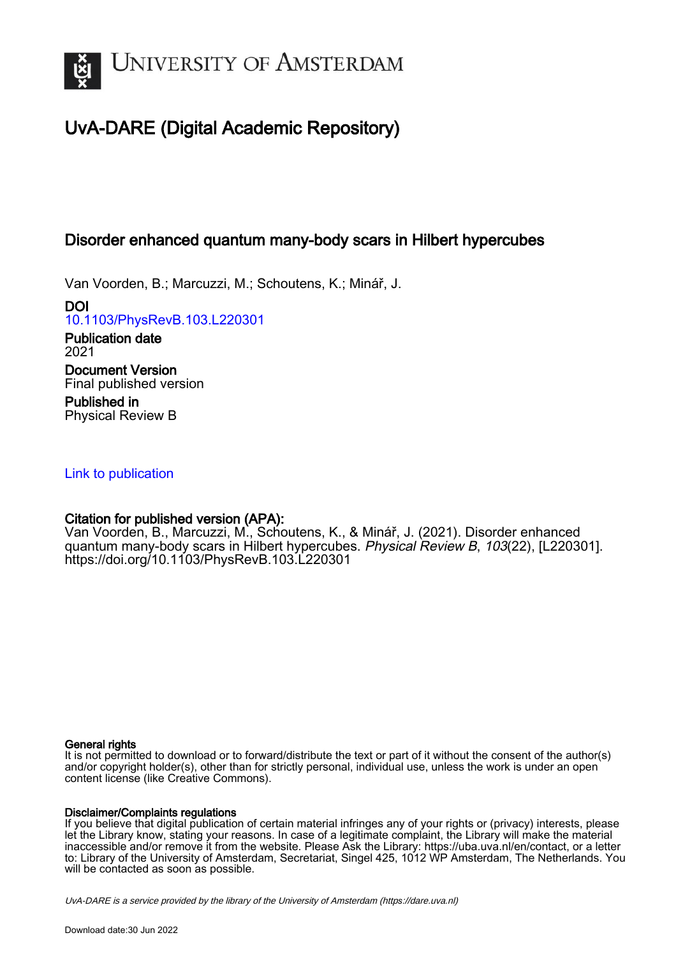

# UvA-DARE (Digital Academic Repository)

## Disorder enhanced quantum many-body scars in Hilbert hypercubes

Van Voorden, B.; Marcuzzi, M.; Schoutens, K.; Minář, J.

DOI [10.1103/PhysRevB.103.L220301](https://doi.org/10.1103/PhysRevB.103.L220301)

Publication date 2021 Document Version Final published version

Published in Physical Review B

## [Link to publication](https://dare.uva.nl/personal/pure/en/publications/disorder-enhanced-quantum-manybody-scars-in-hilbert-hypercubes(1ee93dcf-94db-4558-9006-dab76a22f9a1).html)

## Citation for published version (APA):

Van Voorden, B., Marcuzzi, M., Schoutens, K., & Minář, J. (2021). Disorder enhanced quantum many-body scars in Hilbert hypercubes. Physical Review B, 103(22), [L220301]. <https://doi.org/10.1103/PhysRevB.103.L220301>

### General rights

It is not permitted to download or to forward/distribute the text or part of it without the consent of the author(s) and/or copyright holder(s), other than for strictly personal, individual use, unless the work is under an open content license (like Creative Commons).

### Disclaimer/Complaints regulations

If you believe that digital publication of certain material infringes any of your rights or (privacy) interests, please let the Library know, stating your reasons. In case of a legitimate complaint, the Library will make the material inaccessible and/or remove it from the website. Please Ask the Library: https://uba.uva.nl/en/contact, or a letter to: Library of the University of Amsterdam, Secretariat, Singel 425, 1012 WP Amsterdam, The Netherlands. You will be contacted as soon as possible.

UvA-DARE is a service provided by the library of the University of Amsterdam (http*s*://dare.uva.nl)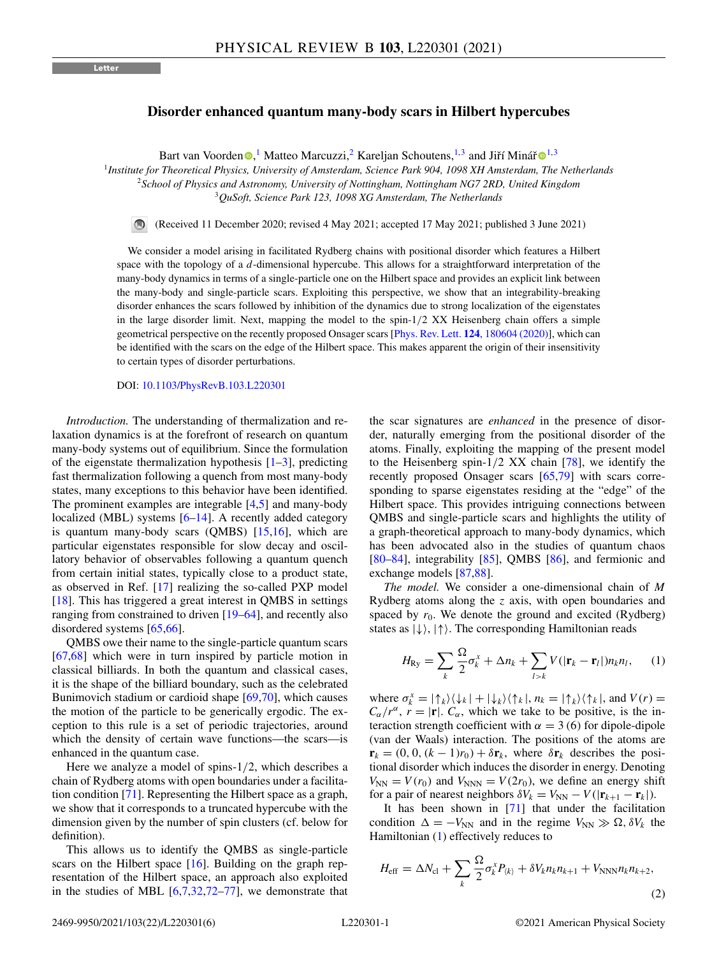#### <span id="page-1-0"></span>**Disorder enhanced quantum many-body scars in Hilbert hypercubes**

Bart van Voorden <sup>® 1</sup>[,](https://orcid.org/0000-0002-2991-3140) Matteo Marcuzzi,<sup>2</sup> Kareljan Schoutens,<sup>[1](https://orcid.org/0000-0002-0752-9578),3</sup> and Jiří Minář ®<sup>1,3</sup>

<sup>1</sup>*Institute for Theoretical Physics, University of Amsterdam, Science Park 904, 1098 XH Amsterdam, The Netherlands* <sup>2</sup>*School of Physics and Astronomy, University of Nottingham, Nottingham NG7 2RD, United Kingdom* <sup>3</sup>*QuSoft, Science Park 123, 1098 XG Amsterdam, The Netherlands*

 $\odot$ (Received 11 December 2020; revised 4 May 2021; accepted 17 May 2021; published 3 June 2021)

We consider a model arising in facilitated Rydberg chains with positional disorder which features a Hilbert space with the topology of a *d*-dimensional hypercube. This allows for a straightforward interpretation of the many-body dynamics in terms of a single-particle one on the Hilbert space and provides an explicit link between the many-body and single-particle scars. Exploiting this perspective, we show that an integrability-breaking disorder enhances the scars followed by inhibition of the dynamics due to strong localization of the eigenstates in the large disorder limit. Next, mapping the model to the spin- $1/2$  XX Heisenberg chain offers a simple geometrical perspective on the recently proposed Onsager scars [Phys. Rev. Lett. **124**[, 180604 \(2020\)\]](https://doi.org/10.1103/PhysRevLett.124.180604), which can be identified with the scars on the edge of the Hilbert space. This makes apparent the origin of their insensitivity to certain types of disorder perturbations.

DOI: [10.1103/PhysRevB.103.L220301](https://doi.org/10.1103/PhysRevB.103.L220301)

*Introduction.* The understanding of thermalization and relaxation dynamics is at the forefront of research on quantum many-body systems out of equilibrium. Since the formulation of the eigenstate thermalization hypothesis  $[1-3]$ , predicting fast thermalization following a quench from most many-body states, many exceptions to this behavior have been identified. The prominent examples are integrable [\[4,5\]](#page-4-0) and many-body localized (MBL) systems [\[6–](#page-4-0)[14\]](#page-5-0). A recently added category is quantum many-body scars (QMBS) [\[15,16\]](#page-5-0), which are particular eigenstates responsible for slow decay and oscillatory behavior of observables following a quantum quench from certain initial states, typically close to a product state, as observed in Ref. [\[17\]](#page-5-0) realizing the so-called PXP model [\[18\]](#page-5-0). This has triggered a great interest in QMBS in settings ranging from constrained to driven [\[19–64\]](#page-5-0), and recently also disordered systems [\[65,66\]](#page-5-0).

QMBS owe their name to the single-particle quantum scars [\[67,68\]](#page-5-0) which were in turn inspired by particle motion in classical billiards. In both the quantum and classical cases, it is the shape of the billiard boundary, such as the celebrated Bunimovich stadium or cardioid shape [\[69,70\]](#page-5-0), which causes the motion of the particle to be generically ergodic. The exception to this rule is a set of periodic trajectories, around which the density of certain wave functions—the scars—is enhanced in the quantum case.

Here we analyze a model of spins-1/2, which describes a chain of Rydberg atoms with open boundaries under a facilitation condition [\[71\]](#page-6-0). Representing the Hilbert space as a graph, we show that it corresponds to a truncated hypercube with the dimension given by the number of spin clusters (cf. below for definition).

This allows us to identify the QMBS as single-particle scars on the Hilbert space  $[16]$ . Building on the graph representation of the Hilbert space, an approach also exploited in the studies of MBL  $[6,7,32,72-77]$  $[6,7,32,72-77]$  $[6,7,32,72-77]$ , we demonstrate that the scar signatures are *enhanced* in the presence of disorder, naturally emerging from the positional disorder of the atoms. Finally, exploiting the mapping of the present model to the Heisenberg spin- $1/2$  XX chain [\[78\]](#page-6-0), we identify the recently proposed Onsager scars [\[65](#page-5-0)[,79\]](#page-6-0) with scars corresponding to sparse eigenstates residing at the "edge" of the Hilbert space. This provides intriguing connections between QMBS and single-particle scars and highlights the utility of a graph-theoretical approach to many-body dynamics, which has been advocated also in the studies of quantum chaos  $[80-84]$ , integrability  $[85]$ , QMBS  $[86]$ , and fermionic and exchange models [\[87,88\]](#page-6-0).

*The model.* We consider a one-dimensional chain of *M* Rydberg atoms along the *z* axis, with open boundaries and spaced by  $r_0$ . We denote the ground and excited (Rydberg) states as  $|\downarrow\rangle$ ,  $|\uparrow\rangle$ . The corresponding Hamiltonian reads

$$
H_{\text{Ry}} = \sum_{k} \frac{\Omega}{2} \sigma_k^x + \Delta n_k + \sum_{l > k} V(|\mathbf{r}_k - \mathbf{r}_l|) n_k n_l, \quad (1)
$$

where  $\sigma_k^x = |\uparrow_k\rangle \langle \downarrow_k| + |\downarrow_k\rangle \langle \uparrow_k|, n_k = |\uparrow_k\rangle \langle \uparrow_k|,$  and  $V(r) =$  $C_{\alpha}/r^{\alpha}$ ,  $r = |\mathbf{r}|$ .  $C_{\alpha}$ , which we take to be positive, is the interaction strength coefficient with  $\alpha = 3(6)$  for dipole-dipole (van der Waals) interaction. The positions of the atoms are  $\mathbf{r}_k = (0, 0, (k-1)r_0) + \delta \mathbf{r}_k$ , where  $\delta \mathbf{r}_k$  describes the positional disorder which induces the disorder in energy. Denoting  $V_{NN} = V(r_0)$  and  $V_{NNN} = V(2r_0)$ , we define an energy shift for a pair of nearest neighbors  $\delta V_k = V_{NN} - V(|\mathbf{r}_{k+1} - \mathbf{r}_k|).$ 

It has been shown in [\[71\]](#page-6-0) that under the facilitation condition  $\Delta = -V_{NN}$  and in the regime  $V_{NN} \gg \Omega$ ,  $\delta V_k$  the Hamiltonian (1) effectively reduces to

$$
H_{\text{eff}} = \Delta N_{\text{cl}} + \sum_{k} \frac{\Omega}{2} \sigma_k^x P_{\langle k \rangle} + \delta V_k n_k n_{k+1} + V_{\text{NNN}} n_k n_{k+2},
$$
\n(2)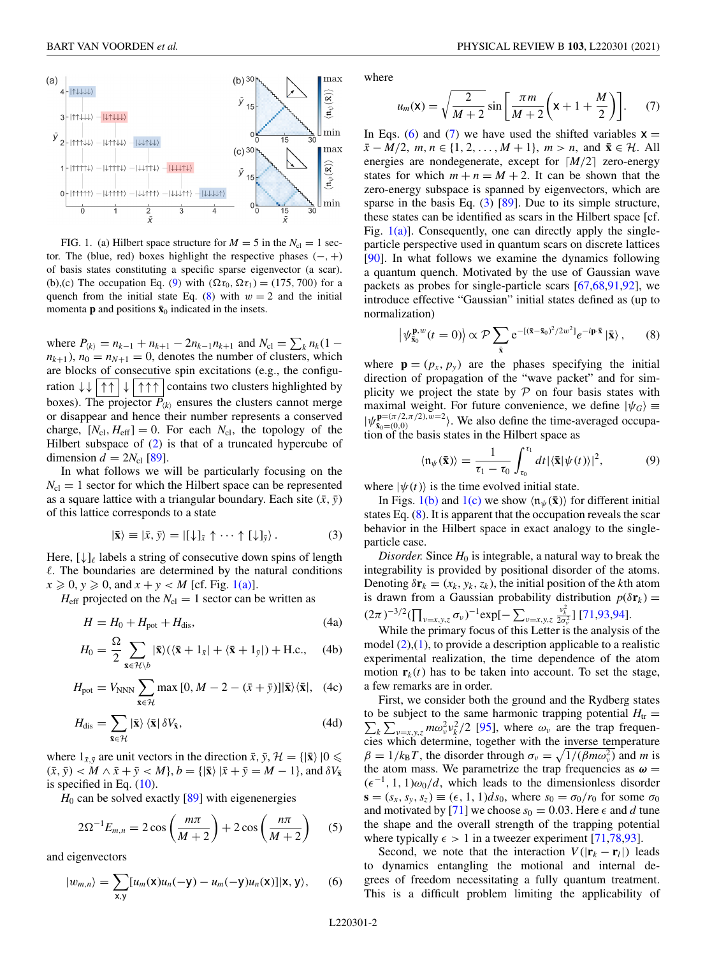<span id="page-2-0"></span>

FIG. 1. (a) Hilbert space structure for  $M = 5$  in the  $N_{\rm cl} = 1$  sector. The (blue, red) boxes highlight the respective phases  $(-, +)$ of basis states constituting a specific sparse eigenvector (a scar). (b),(c) The occupation Eq. (9) with  $(\Omega \tau_0, \Omega \tau_1) = (175, 700)$  for a quench from the initial state Eq.  $(8)$  with  $w = 2$  and the initial momenta **p** and positions  $\bar{\mathbf{x}}_0$  indicated in the insets.

where  $P_{\langle k \rangle} = n_{k-1} + n_{k+1} - 2n_{k-1}n_{k+1}$  and  $N_{\text{cl}} = \sum_{k} n_k (1 - k)$  $n_{k+1}$ ,  $n_0 = n_{N+1} = 0$ , denotes the number of clusters, which are blocks of consecutive spin excitations (e.g., the configuration  $\downarrow \downarrow$  | ↑↑ | ↓ | ↑↑↑ | contains two clusters highlighted by boxes). The projector  $P_{\langle k \rangle}$  ensures the clusters cannot merge or disappear and hence their number represents a conserved charge,  $[N_{\text{cl}}, H_{\text{eff}}] = 0$ . For each  $N_{\text{cl}}$ , the topology of the Hilbert subspace of [\(2\)](#page-1-0) is that of a truncated hypercube of dimension  $d = 2N_{\rm cl}$  [\[89\]](#page-6-0).

In what follows we will be particularly focusing on the  $N_{\rm cl} = 1$  sector for which the Hilbert space can be represented as a square lattice with a triangular boundary. Each site  $(\bar{x}, \bar{y})$ of this lattice corresponds to a state

$$
|\bar{\mathbf{x}}\rangle \equiv |\bar{x}, \bar{y}\rangle = |[\downarrow]_{\bar{x}} \uparrow \cdots \uparrow [\downarrow]_{\bar{y}} \rangle. \tag{3}
$$

Here,  $[\downarrow]_\ell$  labels a string of consecutive down spins of length  $\ell$ . The boundaries are determined by the natural conditions  $x \ge 0$ ,  $y \ge 0$ , and  $x + y < M$  [cf. Fig. 1(a)].

 $H_{\text{eff}}$  projected on the  $N_{\text{cl}} = 1$  sector can be written as

$$
H = H_0 + H_{pot} + H_{dis},\tag{4a}
$$

$$
H_0 = \frac{\Omega}{2} \sum_{\bar{\mathbf{x}} \in \mathcal{H} \setminus b} |\bar{\mathbf{x}}\rangle (\langle \bar{\mathbf{x}} + 1_{\bar{x}}| + \langle \bar{\mathbf{x}} + 1_{\bar{y}}|) + \text{H.c.}, \quad (4b)
$$

$$
H_{\text{pot}} = V_{\text{NNN}} \sum_{\bar{\mathbf{x}} \in \mathcal{H}} \max\left[0, M - 2 - (\bar{x} + \bar{y})\right] |\bar{\mathbf{x}}\rangle \langle \bar{\mathbf{x}}|, \quad (4c)
$$

$$
H_{\rm dis} = \sum_{\bar{\mathbf{x}} \in \mathcal{H}} |\bar{\mathbf{x}}\rangle \langle \bar{\mathbf{x}}| \delta V_{\bar{\mathbf{x}}},\tag{4d}
$$

where  $1_{\bar{x},\bar{y}}$  are unit vectors in the direction  $\bar{x}, \bar{y}, \mathcal{H} = \{|\bar{x}\rangle | 0 \leq$  $(\bar{x}, \bar{y}) < M \wedge \bar{x} + \bar{y} < M$ ,  $b = \{|\bar{x}\rangle | \bar{x} + \bar{y} = M - 1\}$ , and  $\delta V_{\bar{x}}$ is specified in Eq. [\(10\)](#page-3-0).

 $H_0$  can be solved exactly  $[89]$  with eigenenergies

$$
2\Omega^{-1}E_{m,n} = 2\cos\left(\frac{m\pi}{M+2}\right) + 2\cos\left(\frac{n\pi}{M+2}\right) \quad (5)
$$

and eigenvectors

$$
|w_{m,n}\rangle = \sum_{\mathbf{x},\mathbf{y}} [u_m(\mathbf{x})u_n(-\mathbf{y}) - u_m(-\mathbf{y})u_n(\mathbf{x})]| \mathbf{x}, \mathbf{y}\rangle, \quad (6)
$$

where

$$
u_m(\mathbf{x}) = \sqrt{\frac{2}{M+2}} \sin\left[\frac{\pi m}{M+2}\left(\mathbf{x} + 1 + \frac{M}{2}\right)\right].
$$
 (7)

In Eqs. (6) and (7) we have used the shifted variables  $x =$ *x* − *M*/2, *m*, *n* ∈ {1, 2, ..., *M* + 1}, *m* > *n*, and  $\bar{\mathbf{x}} \in \mathcal{H}$ . All energies are nondegenerate, except for  $\lceil M/2 \rceil$  zero-energy states for which  $m + n = M + 2$ . It can be shown that the zero-energy subspace is spanned by eigenvectors, which are sparse in the basis Eq.  $(3)$  [\[89\]](#page-6-0). Due to its simple structure, these states can be identified as scars in the Hilbert space [cf. Fig.  $1(a)$ ]. Consequently, one can directly apply the singleparticle perspective used in quantum scars on discrete lattices [\[90\]](#page-6-0). In what follows we examine the dynamics following a quantum quench. Motivated by the use of Gaussian wave packets as probes for single-particle scars [\[67,68](#page-5-0)[,91,92\]](#page-6-0), we introduce effective "Gaussian" initial states defined as (up to normalization)

$$
\left|\psi_{\bar{\mathbf{x}}_0}^{\mathbf{p},w}(t=0)\right\rangle \propto \mathcal{P}\sum_{\bar{\mathbf{x}}} e^{-\left[(\bar{\mathbf{x}}-\bar{\mathbf{x}}_0)^2/2w^2\right]}e^{-i\mathbf{p}\cdot\bar{\mathbf{x}}}\left|\bar{\mathbf{x}}\right\rangle,\qquad(8)
$$

where  $\mathbf{p} = (p_x, p_y)$  are the phases specifying the initial direction of propagation of the "wave packet" and for simplicity we project the state by  $P$  on four basis states with maximal weight. For future convenience, we define  $|\psi_G\rangle$  =  $|\psi_{\bar{x}_0=(0,0)}^{\mathbf{p}=(\pi/2,\pi/2),w=2}\rangle$ . We also define the time-averaged occupation of the basis states in the Hilbert space as

$$
\langle \mathfrak{n}_{\psi}(\bar{\mathbf{x}}) \rangle = \frac{1}{\tau_1 - \tau_0} \int_{\tau_0}^{\tau_1} dt \, |\langle \bar{\mathbf{x}} | \psi(t) \rangle|^2, \tag{9}
$$

where  $|\psi(t)\rangle$  is the time evolved initial state.

In Figs. 1(b) and 1(c) we show  $\langle \mathfrak{n}_{\psi}(\bar{\mathbf{x}}) \rangle$  for different initial states Eq.  $(8)$ . It is apparent that the occupation reveals the scar behavior in the Hilbert space in exact analogy to the singleparticle case.

*Disorder.* Since  $H_0$  is integrable, a natural way to break the integrability is provided by positional disorder of the atoms. Denoting  $\delta \mathbf{r}_k = (x_k, y_k, z_k)$ , the initial position of the *k*th atom is drawn from a Gaussian probability distribution  $p(\delta \mathbf{r}_k)$  =  $(2\pi)^{-3/2} (\prod_{v=x,y,z} \sigma_v)^{-1} \exp[-\sum_{v=x,y,z}$  $\frac{v_k^2}{2\sigma_v^2}$ ] [\[71,93,94\]](#page-6-0).

While the primary focus of this Letter is the analysis of the model  $(2)$ , $(1)$ , to provide a description applicable to a realistic experimental realization, the time dependence of the atom motion  $\mathbf{r}_k(t)$  has to be taken into account. To set the stage, a few remarks are in order.

First, we consider both the ground and the Rydberg states  $\sum_{k} \sum_{v=x,y,z} m \omega_v^2 v_k^2/2$  [\[95\]](#page-6-0), where  $\omega_v$  are the trap frequento be subject to the same harmonic trapping potential  $H_{tr}$  = cies which determine, together with the inverse temperature  $\beta = 1/k_B T$ , the disorder through  $\sigma_v = \sqrt{1/(\beta m \omega_v^2)}$  and *m* is the atom mass. We parametrize the trap frequencies as  $\omega =$  $(\epsilon^{-1}, 1, 1) \omega_0/d$ , which leads to the dimensionless disorder  $\mathbf{s} = (s_x, s_y, s_z) \equiv (\epsilon, 1, 1) ds_0$ , where  $s_0 = \frac{\sigma_0}{r_0}$  for some  $\sigma_0$ and motivated by [\[71\]](#page-6-0) we choose  $s_0 = 0.03$ . Here  $\epsilon$  and *d* tune the shape and the overall strength of the trapping potential where typically  $\epsilon > 1$  in a tweezer experiment [\[71,78,93\]](#page-6-0).

Second, we note that the interaction  $V(|\mathbf{r}_k - \mathbf{r}_l|)$  leads to dynamics entangling the motional and internal degrees of freedom necessitating a fully quantum treatment. This is a difficult problem limiting the applicability of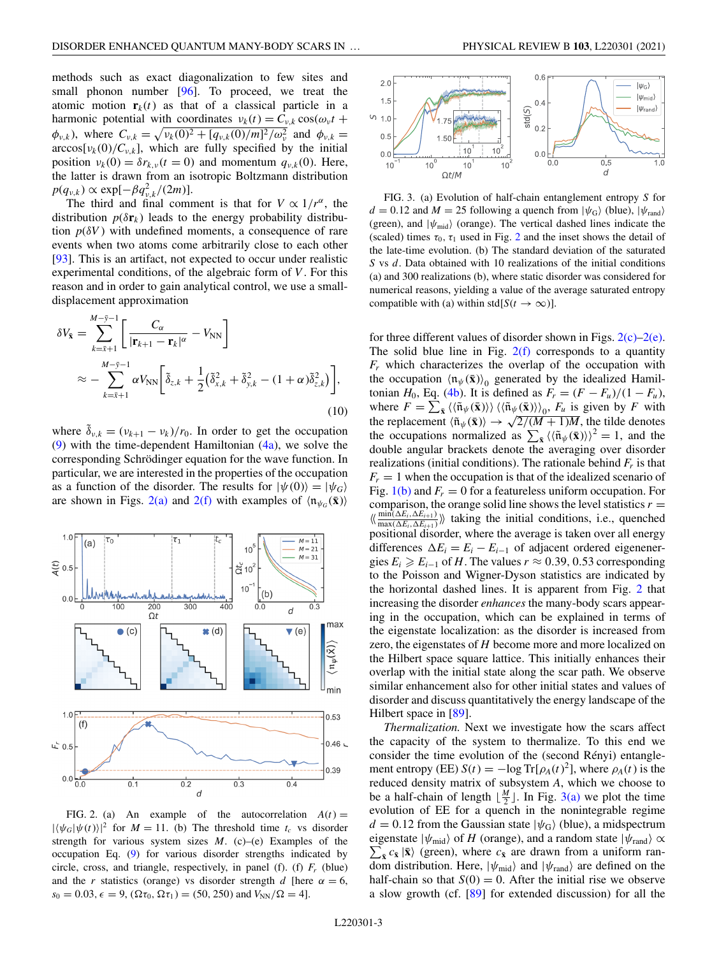<span id="page-3-0"></span>methods such as exact diagonalization to few sites and small phonon number [\[96\]](#page-6-0). To proceed, we treat the atomic motion  $\mathbf{r}_k(t)$  as that of a classical particle in a harmonic potential with coordinates  $v_k(t) = C_{v,k} \cos(\omega_v t +$  $\phi_{v,k}$ ), where  $C_{v,k} = \sqrt{v_k(0)^2 + [q_{v,k}(0)/m]^2/\omega_v^2}$  and  $\phi_{v,k} =$  $arccos[v_k(0)/C_{v,k}]$ , which are fully specified by the initial position  $v_k(0) = \delta r_{k,\nu}(t=0)$  and momentum  $q_{\nu,k}(0)$ . Here, the latter is drawn from an isotropic Boltzmann distribution  $p(q_{v,k}) \propto \exp[-\beta q_{v,k}^2/(2m)].$ 

The third and final comment is that for  $V \propto 1/r^{\alpha}$ , the distribution  $p(\delta \mathbf{r}_k)$  leads to the energy probability distribution  $p(\delta V)$  with undefined moments, a consequence of rare events when two atoms come arbitrarily close to each other [\[93\]](#page-6-0). This is an artifact, not expected to occur under realistic experimental conditions, of the algebraic form of *V* . For this reason and in order to gain analytical control, we use a smalldisplacement approximation

$$
\delta V_{\bar{\mathbf{x}}} = \sum_{k=\bar{x}+1}^{M-\bar{y}-1} \left[ \frac{C_{\alpha}}{|\mathbf{r}_{k+1} - \mathbf{r}_k|^{\alpha}} - V_{\text{NN}} \right]
$$
  

$$
\approx - \sum_{k=\bar{x}+1}^{M-\bar{y}-1} \alpha V_{\text{NN}} \left[ \tilde{\delta}_{z,k} + \frac{1}{2} (\tilde{\delta}_{x,k}^2 + \tilde{\delta}_{y,k}^2 - (1+\alpha)\tilde{\delta}_{z,k}^2) \right],
$$
  
(10)

where  $\tilde{\delta}_{v,k} = (v_{k+1} - v_k)/r_0$ . In order to get the occupation [\(9\)](#page-2-0) with the time-dependent Hamiltonian  $(4a)$ , we solve the corresponding Schrödinger equation for the wave function. In particular, we are interested in the properties of the occupation as a function of the disorder. The results for  $|\psi(0)\rangle=|\psi_G\rangle$ are shown in Figs. 2(a) and 2(f) with examples of  $\langle \mathfrak{n}_{\psi_G}(\bar{\mathbf{x}}) \rangle$ 



FIG. 2. (a) An example of the autocorrelation  $A(t) =$  $|\langle \psi_G | \psi(t) \rangle|^2$  for  $M = 11$ . (b) The threshold time  $t_c$  vs disorder strength for various system sizes *M*. (c)–(e) Examples of the occupation Eq. [\(9\)](#page-2-0) for various disorder strengths indicated by circle, cross, and triangle, respectively, in panel (f). (f)  $F_r$  (blue) and the *r* statistics (orange) vs disorder strength *d* [here  $\alpha = 6$ ,  $s_0 = 0.03, \epsilon = 9, (\Omega \tau_0, \Omega \tau_1) = (50, 250)$  and  $V_{NN}/\Omega = 4$ .



FIG. 3. (a) Evolution of half-chain entanglement entropy *S* for  $d = 0.12$  and  $M = 25$  following a quench from  $|\psi_{\rm G}\rangle$  (blue),  $|\psi_{\rm rand}\rangle$ (green), and  $|\psi_{mid}\rangle$  (orange). The vertical dashed lines indicate the (scaled) times  $\tau_0$ ,  $\tau_1$  used in Fig. 2 and the inset shows the detail of the late-time evolution. (b) The standard deviation of the saturated *S* vs *d*. Data obtained with 10 realizations of the initial conditions (a) and 300 realizations (b), where static disorder was considered for numerical reasons, yielding a value of the average saturated entropy compatible with (a) within std[ $S(t \to \infty)$ ].

for three different values of disorder shown in Figs.  $2(c)-2(e)$ . The solid blue line in Fig.  $2(f)$  corresponds to a quantity *Fr* which characterizes the overlap of the occupation with the occupation  $\langle \mathfrak{n}_{\psi}(\bar{\mathbf{x}}) \rangle_0$  generated by the idealized Hamiltonian *H*<sub>0</sub>, Eq. [\(4b\)](#page-2-0). It is defined as  $F_r = (F - F_u)/(1 - F_u)$ , where  $F = \sum_{\bar{\mathbf{x}}} \langle \langle \tilde{\mathbf{n}}_{\psi}(\bar{\mathbf{x}}) \rangle \rangle \langle \langle \tilde{\mathbf{n}}_{\psi}(\bar{\mathbf{x}}) \rangle \rangle_0$ ,  $F_u$  is given by *F* with the replacement  $\langle \tilde{n}_{\psi}(\bar{\mathbf{x}}) \rangle \rightarrow \sqrt{2/(M+1)M}$ , the tilde denotes the occupations normalized as  $\sum_{\bar{x}} \langle \langle \tilde{n}_{\psi}(\bar{x}) \rangle \rangle^2 = 1$ , and the double angular brackets denote the averaging over disorder realizations (initial conditions). The rationale behind  $F_r$  is that  $F_r = 1$  when the occupation is that of the idealized scenario of Fig.  $1(b)$  and  $F_r = 0$  for a featureless uniform occupation. For comparison, the orange solid line shows the level statistics  $r =$  $\langle\langle \frac{\text{min}(\Delta E_i, \Delta E_{i+1})}{\text{max}(\Delta E_i, \Delta E_{i+1})}\rangle\rangle$  taking the initial conditions, i.e., quenched positional disorder, where the average is taken over all energy differences  $\Delta E_i = E_i - E_{i-1}$  of adjacent ordered eigenenergies  $E_i \ge E_{i-1}$  of *H*. The values  $r \approx 0.39, 0.53$  corresponding to the Poisson and Wigner-Dyson statistics are indicated by the horizontal dashed lines. It is apparent from Fig. 2 that increasing the disorder *enhances* the many-body scars appearing in the occupation, which can be explained in terms of the eigenstate localization: as the disorder is increased from zero, the eigenstates of *H* become more and more localized on the Hilbert space square lattice. This initially enhances their overlap with the initial state along the scar path. We observe similar enhancement also for other initial states and values of disorder and discuss quantitatively the energy landscape of the Hilbert space in [\[89\]](#page-6-0).

*Thermalization.* Next we investigate how the scars affect the capacity of the system to thermalize. To this end we consider the time evolution of the (second Rényi) entanglement entropy (EE)  $S(t) = -\log Tr[\rho_A(t)^2]$ , where  $\rho_A(t)$  is the reduced density matrix of subsystem *A*, which we choose to be a half-chain of length  $\lfloor \frac{M}{2} \rfloor$ . In Fig. 3(a) we plot the time evolution of EE for a quench in the nonintegrable regime  $d = 0.12$  from the Gaussian state  $|\psi_{\rm G}\rangle$  (blue), a midspectrum  $\sum_{\bar{x}} c_{\bar{x}} |\bar{x}\rangle$  (green), where  $c_{\bar{x}}$  are drawn from a uniform raneigenstate  $|\psi_{mid}\rangle$  of *H* (orange), and a random state  $|\psi_{rand}\rangle \propto$ dom distribution. Here,  $|\psi_{mid}\rangle$  and  $|\psi_{rand}\rangle$  are defined on the half-chain so that  $S(0) = 0$ . After the initial rise we observe a slow growth (cf. [\[89\]](#page-6-0) for extended discussion) for all the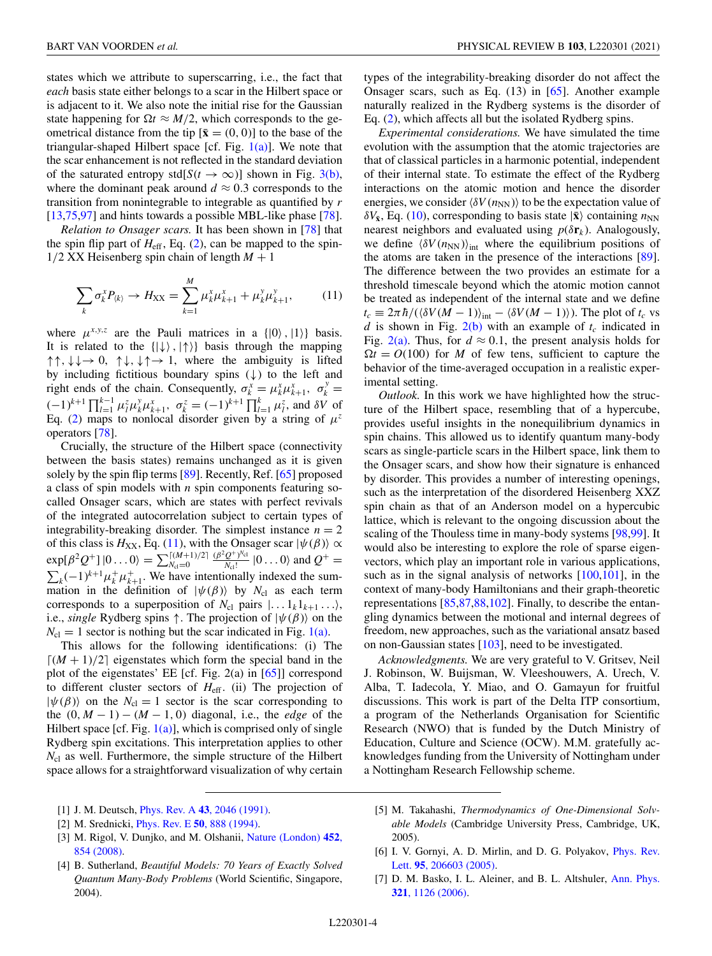<span id="page-4-0"></span>states which we attribute to superscarring, i.e., the fact that *each* basis state either belongs to a scar in the Hilbert space or is adjacent to it. We also note the initial rise for the Gaussian state happening for  $\Omega t \approx M/2$ , which corresponds to the geometrical distance from the tip  $[\bar{\mathbf{x}} = (0, 0)]$  to the base of the triangular-shaped Hilbert space [cf. Fig.  $1(a)$ ]. We note that the scar enhancement is not reflected in the standard deviation of the saturated entropy std[ $S(t \to \infty)$ ] shown in Fig. [3\(b\),](#page-3-0) where the dominant peak around  $d \approx 0.3$  corresponds to the transition from nonintegrable to integrable as quantified by *r*  $[13,75,97]$  $[13,75,97]$  and hints towards a possible MBL-like phase  $[78]$ .

*Relation to Onsager scars.* It has been shown in [\[78\]](#page-6-0) that the spin flip part of  $H_{\text{eff}}$ , Eq. [\(2\)](#page-1-0), can be mapped to the spin- $1/2$  XX Heisenberg spin chain of length  $M + 1$ 

$$
\sum_{k} \sigma_{k}^{x} P_{\langle k \rangle} \to H_{\text{XX}} = \sum_{k=1}^{M} \mu_{k}^{x} \mu_{k+1}^{x} + \mu_{k}^{y} \mu_{k+1}^{y}, \tag{11}
$$

where  $\mu^{x,y,z}$  are the Pauli matrices in a  $\{|0\rangle, |1\rangle\}$  basis. It is related to the  $\{|\downarrow\rangle, |\uparrow\rangle\}$  basis through the mapping  $\uparrow \uparrow$ ,  $\downarrow \downarrow \rightarrow 0$ ,  $\uparrow \downarrow$ ,  $\downarrow \uparrow \rightarrow 1$ , where the ambiguity is lifted by including fictitious boundary spins  $(\downarrow)$  to the left and right ends of the chain. Consequently,  $\sigma_k^x = \mu_k^x \mu_{k+1}^x$ ,  $\sigma_k^y =$  $(-1)^{k+1} \prod_{l=1}^{k-1} \mu_l^z \mu_k^y \mu_{k+1}^x$ ,  $\sigma_k^z = (-1)^{k+1} \prod_{l=1}^k \mu_l^z$ , and  $\delta V$  of Eq. [\(2\)](#page-1-0) maps to nonlocal disorder given by a string of  $\mu^z$ operators [\[78\]](#page-6-0).

Crucially, the structure of the Hilbert space (connectivity between the basis states) remains unchanged as it is given solely by the spin flip terms [\[89\]](#page-6-0). Recently, Ref. [\[65\]](#page-5-0) proposed a class of spin models with *n* spin components featuring socalled Onsager scars, which are states with perfect revivals of the integrated autocorrelation subject to certain types of integrability-breaking disorder. The simplest instance  $n = 2$ of this class is  $H_{XX}$ , Eq. (11), with the Onsager scar  $|\psi(\beta)\rangle \propto$  $\exp[\beta^2 Q^+] |0...0\rangle = \sum_{N_{\rm cl}=0}^{\lceil (M+1)/2 \rceil}$  $\frac{(\beta^2 Q^+)^{N_{\rm cl}}}{N_{\rm cl}!}$  |0... 0) and  $Q^+$  =  $\sum_{k} (-1)^{k+1} \mu_k^+ \mu_{k+1}^+$ . We have intentionally indexed the summation in the definition of  $|\psi(\beta)\rangle$  by  $N_{\text{cl}}$  as each term corresponds to a superposition of  $N_{c1}$  pairs  $|... 1_k 1_{k+1} ... \rangle$ , i.e., *single* Rydberg spins  $\uparrow$ . The projection of  $|\psi(\beta)\rangle$  on the  $N_{\rm cl} = 1$  sector is nothing but the scar indicated in Fig. [1\(a\).](#page-2-0)

This allows for the following identifications: (i) The  $\lceil (M+1)/2 \rceil$  eigenstates which form the special band in the plot of the eigenstates' EE [cf. Fig. 2(a) in [\[65\]](#page-5-0)] correspond to different cluster sectors of *H*eff. (ii) The projection of  $|\psi(\beta)\rangle$  on the  $N_{\text{cl}} = 1$  sector is the scar corresponding to the  $(0, M - 1) - (M - 1, 0)$  diagonal, i.e., the *edge* of the Hilbert space [cf. Fig.  $1(a)$ ], which is comprised only of single Rydberg spin excitations. This interpretation applies to other *N*<sub>cl</sub> as well. Furthermore, the simple structure of the Hilbert space allows for a straightforward visualization of why certain

- [2] M. Srednicki, Phys. Rev. E **50**[, 888 \(1994\).](https://doi.org/10.1103/PhysRevE.50.888)
- [3] [M. Rigol, V. Dunjko, and M. Olshanii,](https://doi.org/10.1038/nature06838) Nature (London) **452**, 854 (2008).
- [4] B. Sutherland, *Beautiful Models: 70 Years of Exactly Solved Quantum Many-Body Problems* (World Scientific, Singapore, 2004).

types of the integrability-breaking disorder do not affect the Onsager scars, such as Eq. (13) in [\[65\]](#page-5-0). Another example naturally realized in the Rydberg systems is the disorder of Eq. [\(2\)](#page-1-0), which affects all but the isolated Rydberg spins.

*Experimental considerations.* We have simulated the time evolution with the assumption that the atomic trajectories are that of classical particles in a harmonic potential, independent of their internal state. To estimate the effect of the Rydberg interactions on the atomic motion and hence the disorder energies, we consider  $\langle \delta V(n_{NN}) \rangle$  to be the expectation value of  $\delta V_{\bar{x}}$ , Eq. [\(10\)](#page-3-0), corresponding to basis state  $|\bar{x}\rangle$  containing  $n_{NN}$ nearest neighbors and evaluated using  $p(\delta \mathbf{r}_k)$ . Analogously, we define  $\langle \delta V(n_{NN}) \rangle_{\text{int}}$  where the equilibrium positions of the atoms are taken in the presence of the interactions [\[89\]](#page-6-0). The difference between the two provides an estimate for a threshold timescale beyond which the atomic motion cannot be treated as independent of the internal state and we define  $t_c \equiv 2\pi \hbar/(\langle \delta V(M-1) \rangle_{int} - \langle \delta V(M-1) \rangle)$ . The plot of  $t_c$  vs *d* is shown in Fig.  $2(b)$  with an example of  $t_c$  indicated in Fig.  $2(a)$ . Thus, for  $d \approx 0.1$ , the present analysis holds for  $\Omega t = O(100)$  for *M* of few tens, sufficient to capture the behavior of the time-averaged occupation in a realistic experimental setting.

*Outlook.* In this work we have highlighted how the structure of the Hilbert space, resembling that of a hypercube, provides useful insights in the nonequilibrium dynamics in spin chains. This allowed us to identify quantum many-body scars as single-particle scars in the Hilbert space, link them to the Onsager scars, and show how their signature is enhanced by disorder. This provides a number of interesting openings, such as the interpretation of the disordered Heisenberg XXZ spin chain as that of an Anderson model on a hypercubic lattice, which is relevant to the ongoing discussion about the scaling of the Thouless time in many-body systems [\[98,99\]](#page-6-0). It would also be interesting to explore the role of sparse eigenvectors, which play an important role in various applications, such as in the signal analysis of networks  $[100, 101]$ , in the context of many-body Hamiltonians and their graph-theoretic representations [\[85,87,88,102\]](#page-6-0). Finally, to describe the entangling dynamics between the motional and internal degrees of freedom, new approaches, such as the variational ansatz based on non-Gaussian states [\[103\]](#page-6-0), need to be investigated.

*Acknowledgments.* We are very grateful to V. Gritsev, Neil J. Robinson, W. Buijsman, W. Vleeshouwers, A. Urech, V. Alba, T. Iadecola, Y. Miao, and O. Gamayun for fruitful discussions. This work is part of the Delta ITP consortium, a program of the Netherlands Organisation for Scientific Research (NWO) that is funded by the Dutch Ministry of Education, Culture and Science (OCW). M.M. gratefully acknowledges funding from the University of Nottingham under a Nottingham Research Fellowship scheme.

- [5] M. Takahashi, *Thermodynamics of One-Dimensional Solvable Models* (Cambridge University Press, Cambridge, UK, 2005).
- [6] [I. V. Gornyi, A. D. Mirlin, and D. G. Polyakov,](https://doi.org/10.1103/PhysRevLett.95.206603) *Phys. Rev.* Lett. **95**, 206603 (2005).
- [7] [D. M. Basko, I. L. Aleiner, and B. L. Altshuler,](https://doi.org/10.1016/j.aop.2005.11.014) Ann. Phys. **321**, 1126 (2006).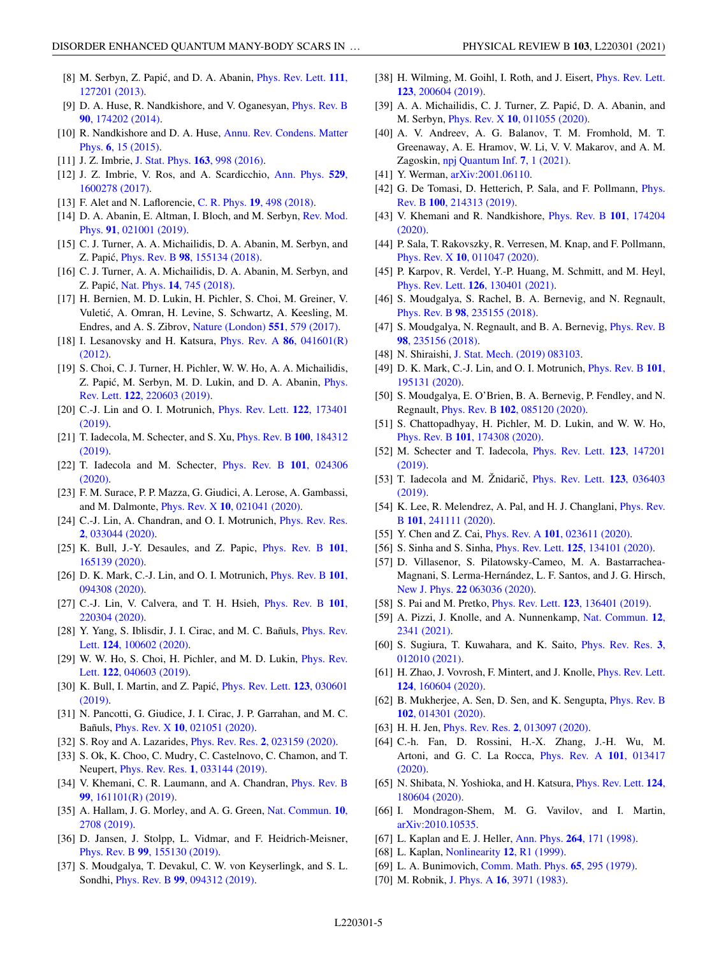- <span id="page-5-0"></span>[8] M. Serbyn, Z. Papić, and D. A. Abanin, *Phys. Rev. Lett.* **111**, 127201 (2013).
- [9] [D. A. Huse, R. Nandkishore, and V. Oganesyan,](https://doi.org/10.1103/PhysRevB.90.174202) Phys. Rev. B **90**, 174202 (2014).
- [10] [R. Nandkishore and D. A. Huse,](https://doi.org/10.1146/annurev-conmatphys-031214-014726) Annu. Rev. Condens. Matter Phys. **6**, 15 (2015).
- [11] J. Z. Imbrie, [J. Stat. Phys.](https://doi.org/10.1007/s10955-016-1508-x) **163**, 998 (2016).
- [12] [J. Z. Imbrie, V. Ros, and A. Scardicchio,](https://doi.org/10.1002/andp.201600278) Ann. Phys. **529**, 1600278 (2017).
- [13] F. Alet and N. Laflorencie, C. R. Phys. **19**[, 498 \(2018\).](https://doi.org/10.1016/j.crhy.2018.03.003)
- [14] [D. A. Abanin, E. Altman, I. Bloch, and M. Serbyn,](https://doi.org/10.1103/RevModPhys.91.021001) Rev. Mod. Phys. **91**, 021001 (2019).
- [15] C. J. Turner, A. A. Michailidis, D. A. Abanin, M. Serbyn, and Z. Papic,´ Phys. Rev. B **98**[, 155134 \(2018\).](https://doi.org/10.1103/PhysRevB.98.155134)
- [16] C. J. Turner, A. A. Michailidis, D. A. Abanin, M. Serbyn, and Z. Papic,´ Nat. Phys. **14**[, 745 \(2018\).](https://doi.org/10.1038/s41567-018-0137-5)
- [17] H. Bernien, M. D. Lukin, H. Pichler, S. Choi, M. Greiner, V. Vuletic, A. Omran, H. Levine, S. Schwartz, A. Keesling, M. ´ Endres, and A. S. Zibrov, [Nature \(London\)](https://doi.org/10.1038/nature24622) **551**, 579 (2017).
- [18] [I. Lesanovsky and H. Katsura,](https://doi.org/10.1103/PhysRevA.86.041601) Phys. Rev. A **86**, 041601(R) (2012).
- [19] S. Choi, C. J. Turner, H. Pichler, W. W. Ho, A. A. Michailidis, Z. Papić, M. Serbyn, M. D. Lukin, and D. A. Abanin, *Phys.* Rev. Lett. **122**, 220603 (2019).
- [20] [C.-J. Lin and O. I. Motrunich,](https://doi.org/10.1103/PhysRevLett.122.173401) Phys. Rev. Lett. **122**, 173401 (2019).
- [21] [T. Iadecola, M. Schecter, and S. Xu,](https://doi.org/10.1103/PhysRevB.100.184312) Phys. Rev. B **100**, 184312 (2019).
- [22] [T. Iadecola and M. Schecter,](https://doi.org/10.1103/PhysRevB.101.024306) Phys. Rev. B **101**, 024306 (2020).
- [23] F. M. Surace, P. P. Mazza, G. Giudici, A. Lerose, A. Gambassi, and M. Dalmonte, Phys. Rev. X **10**[, 021041 \(2020\).](https://doi.org/10.1103/PhysRevX.10.021041)
- [24] [C.-J. Lin, A. Chandran, and O. I. Motrunich,](https://doi.org/10.1103/PhysRevResearch.2.033044) *Phys. Rev. Res.* **2**, 033044 (2020).
- [25] [K. Bull, J.-Y. Desaules, and Z. Papic,](https://doi.org/10.1103/PhysRevB.101.165139) Phys. Rev. B **101**, 165139 (2020).
- [26] [D. K. Mark, C.-J. Lin, and O. I. Motrunich,](https://doi.org/10.1103/PhysRevB.101.094308) Phys. Rev. B **101**, 094308 (2020).
- [27] [C.-J. Lin, V. Calvera, and T. H. Hsieh,](https://doi.org/10.1103/PhysRevB.101.220304) Phys. Rev. B **101**, 220304 (2020).
- [28] [Y. Yang, S. Iblisdir, J. I. Cirac, and M. C. Bañuls,](https://doi.org/10.1103/PhysRevLett.124.100602) *Phys. Rev.* Lett. **124**, 100602 (2020).
- [29] [W. W. Ho, S. Choi, H. Pichler, and M. D. Lukin,](https://doi.org/10.1103/PhysRevLett.122.040603) *Phys. Rev.* Lett. **122**, 040603 (2019).
- [30] [K. Bull, I. Martin, and Z. Papic,´](https://doi.org/10.1103/PhysRevLett.123.030601) Phys. Rev. Lett. **123**, 030601 (2019).
- [31] N. Pancotti, G. Giudice, J. I. Cirac, J. P. Garrahan, and M. C. Bañuls, Phys. Rev. X **10**[, 021051 \(2020\).](https://doi.org/10.1103/PhysRevX.10.021051)
- [32] S. Roy and A. Lazarides, Phys. Rev. Res. **2**[, 023159 \(2020\).](https://doi.org/10.1103/PhysRevResearch.2.023159)
- [33] S. Ok, K. Choo, C. Mudry, C. Castelnovo, C. Chamon, and T. Neupert, Phys. Rev. Res. **1**[, 033144 \(2019\).](https://doi.org/10.1103/PhysRevResearch.1.033144)
- [34] [V. Khemani, C. R. Laumann, and A. Chandran,](https://doi.org/10.1103/PhysRevB.99.161101) *Phys. Rev. B* **99**, 161101(R) (2019).
- [35] [A. Hallam, J. G. Morley, and A. G. Green,](https://doi.org/10.1038/s41467-019-10336-4) Nat. Commun. **10**, 2708 (2019).
- [36] D. Jansen, J. Stolpp, L. Vidmar, and F. Heidrich-Meisner, Phys. Rev. B **99**[, 155130 \(2019\).](https://doi.org/10.1103/PhysRevB.99.155130)
- [37] S. Moudgalya, T. Devakul, C. W. von Keyserlingk, and S. L. Sondhi, Phys. Rev. B **99**[, 094312 \(2019\).](https://doi.org/10.1103/PhysRevB.99.094312)
- [38] [H. Wilming, M. Goihl, I. Roth, and J. Eisert,](https://doi.org/10.1103/PhysRevLett.123.200604) Phys. Rev. Lett. **123**, 200604 (2019).
- [39] A. A. Michailidis, C. J. Turner, Z. Papic, D. A. Abanin, and ´ M. Serbyn, Phys. Rev. X **10**[, 011055 \(2020\).](https://doi.org/10.1103/PhysRevX.10.011055)
- [40] A. V. Andreev, A. G. Balanov, T. M. Fromhold, M. T. Greenaway, A. E. Hramov, W. Li, V. V. Makarov, and A. M. Zagoskin, [npj Quantum Inf.](https://doi.org/10.1038/s41534-020-00339-1) **7**, 1 (2021).
- [41] Y. Werman, arXiv: 2001.06110.
- [42] [G. De Tomasi, D. Hetterich, P. Sala, and F. Pollmann,](https://doi.org/10.1103/PhysRevB.100.214313) *Phys.* Rev. B **100**, 214313 (2019).
- [43] [V. Khemani and R. Nandkishore,](https://doi.org/10.1103/PhysRevB.101.174204) Phys. Rev. B **101**, 174204 (2020).
- [44] P. Sala, T. Rakovszky, R. Verresen, M. Knap, and F. Pollmann, Phys. Rev. X **10**[, 011047 \(2020\).](https://doi.org/10.1103/PhysRevX.10.011047)
- [45] P. Karpov, R. Verdel, Y.-P. Huang, M. Schmitt, and M. Heyl, Phys. Rev. Lett. **126**[, 130401 \(2021\).](https://doi.org/10.1103/PhysRevLett.126.130401)
- [46] S. Moudgalya, S. Rachel, B. A. Bernevig, and N. Regnault, Phys. Rev. B **98**[, 235155 \(2018\).](https://doi.org/10.1103/PhysRevB.98.235155)
- [47] [S. Moudgalya, N. Regnault, and B. A. Bernevig,](https://doi.org/10.1103/PhysRevB.98.235156) *Phys. Rev. B* **98**, 235156 (2018).
- [48] N. Shiraishi, [J. Stat. Mech. \(2019\) 083103.](https://doi.org/10.1088/1742-5468/ab342e)
- [49] [D. K. Mark, C.-J. Lin, and O. I. Motrunich,](https://doi.org/10.1103/PhysRevB.101.195131) Phys. Rev. B **101**, 195131 (2020).
- [50] S. Moudgalya, E. O'Brien, B. A. Bernevig, P. Fendley, and N. Regnault, Phys. Rev. B **102**[, 085120 \(2020\).](https://doi.org/10.1103/PhysRevB.102.085120)
- [51] S. Chattopadhyay, H. Pichler, M. D. Lukin, and W. W. Ho, Phys. Rev. B **101**[, 174308 \(2020\).](https://doi.org/10.1103/PhysRevB.101.174308)
- [52] [M. Schecter and T. Iadecola,](https://doi.org/10.1103/PhysRevLett.123.147201) Phys. Rev. Lett. **123**, 147201 (2019).
- [53] T. Iadecola and M. Žnidarič, *Phys. Rev. Lett.* **123**, 036403 (2019).
- [54] [K. Lee, R. Melendrez, A. Pal, and H. J. Changlani,](https://doi.org/10.1103/PhysRevB.101.241111) *Phys. Rev.* B **101**, 241111 (2020).
- [55] Y. Chen and Z. Cai, Phys. Rev. A **101**[, 023611 \(2020\).](https://doi.org/10.1103/PhysRevA.101.023611)
- [56] S. Sinha and S. Sinha, Phys. Rev. Lett. **125**[, 134101 \(2020\).](https://doi.org/10.1103/PhysRevLett.125.134101)
- [57] D. Villasenor, S. Pilatowsky-Cameo, M. A. Bastarrachea-Magnani, S. Lerma-Hernández, L. F. Santos, and J. G. Hirsch, New J. Phys. **22** [063036 \(2020\).](https://doi.org/10.1088/1367-2630/ab8ef8)
- [58] S. Pai and M. Pretko, Phys. Rev. Lett. **123**[, 136401 \(2019\).](https://doi.org/10.1103/PhysRevLett.123.136401)
- [59] [A. Pizzi, J. Knolle, and A. Nunnenkamp,](https://doi.org/10.1038/s41467-021-22583-5) Nat. Commun. **12**, 2341 (2021).
- [60] [S. Sugiura, T. Kuwahara, and K. Saito,](https://doi.org/10.1103/PhysRevResearch.3.013102) Phys. Rev. Res. **3**, 012010 (2021).
- [61] [H. Zhao, J. Vovrosh, F. Mintert, and J. Knolle,](https://doi.org/10.1103/PhysRevLett.124.160604) *Phys. Rev. Lett.* **124**, 160604 (2020).
- [62] [B. Mukherjee, A. Sen, D. Sen, and K. Sengupta,](https://doi.org/10.1103/PhysRevB.102.014301) *Phys. Rev. B* **102**, 014301 (2020).
- [63] H. H. Jen, Phys. Rev. Res. **2**[, 013097 \(2020\).](https://doi.org/10.1103/PhysRevResearch.2.013097)
- [64] C.-h. Fan, D. Rossini, H.-X. Zhang, J.-H. Wu, M. [Artoni, and G. C. La Rocca,](https://doi.org/10.1103/PhysRevA.101.013417) Phys. Rev. A **101**, 013417 (2020).
- [65] [N. Shibata, N. Yoshioka, and H. Katsura,](https://doi.org/10.1103/PhysRevLett.124.180604) Phys. Rev. Lett. **124**, 180604 (2020).
- [66] I. Mondragon-Shem, M. G. Vavilov, and I. Martin, [arXiv:2010.10535.](http://arxiv.org/abs/arXiv:2010.10535)
- [67] L. Kaplan and E. J. Heller, Ann. Phys. **264**[, 171 \(1998\).](https://doi.org/10.1006/aphy.1997.5773)
- [68] L. Kaplan, [Nonlinearity](https://doi.org/10.1088/0951-7715/12/2/009) **12**, R1 (1999).
- [69] L. A. Bunimovich, [Comm. Math. Phys.](https://doi.org/10.1007/BF01197884) **65**, 295 (1979).
- [70] M. Robnik, J. Phys. A **16**[, 3971 \(1983\).](https://doi.org/10.1088/0305-4470/16/17/014)